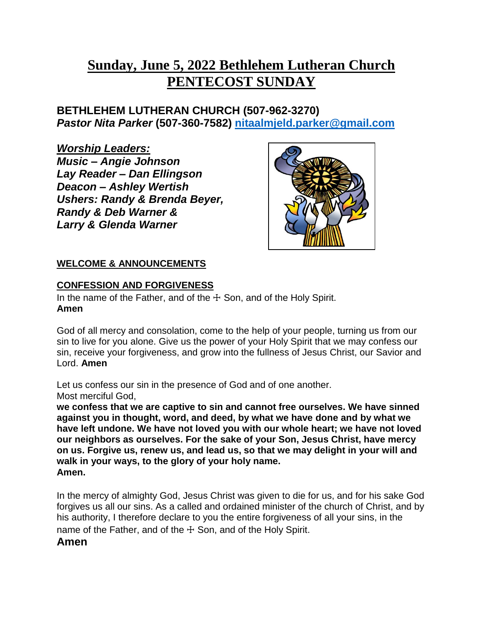# **Sunday, June 5, 2022 Bethlehem Lutheran Church PENTECOST SUNDAY**

**BETHLEHEM LUTHERAN CHURCH (507-962-3270)**  *Pastor Nita Parker* **(507-360-7582) [nitaalmjeld.parker@gmail.com](mailto:nitaalmjeld.parker@gmail.com)**

*Worship Leaders: Music – Angie Johnson Lay Reader – Dan Ellingson Deacon – Ashley Wertish Ushers: Randy & Brenda Beyer, Randy & Deb Warner & Larry & Glenda Warner*



# **WELCOME & ANNOUNCEMENTS**

# **CONFESSION AND FORGIVENESS**

In the name of the Father, and of the  $+$  Son, and of the Holy Spirit. **Amen**

God of all mercy and consolation, come to the help of your people, turning us from our sin to live for you alone. Give us the power of your Holy Spirit that we may confess our sin, receive your forgiveness, and grow into the fullness of Jesus Christ, our Savior and Lord. **Amen**

Let us confess our sin in the presence of God and of one another. Most merciful God,

**we confess that we are captive to sin and cannot free ourselves. We have sinned against you in thought, word, and deed, by what we have done and by what we have left undone. We have not loved you with our whole heart; we have not loved our neighbors as ourselves. For the sake of your Son, Jesus Christ, have mercy on us. Forgive us, renew us, and lead us, so that we may delight in your will and walk in your ways, to the glory of your holy name. Amen.**

In the mercy of almighty God, Jesus Christ was given to die for us, and for his sake God forgives us all our sins. As a called and ordained minister of the church of Christ, and by his authority, I therefore declare to you the entire forgiveness of all your sins, in the name of the Father, and of the  $+$  Son, and of the Holy Spirit.

# **Amen**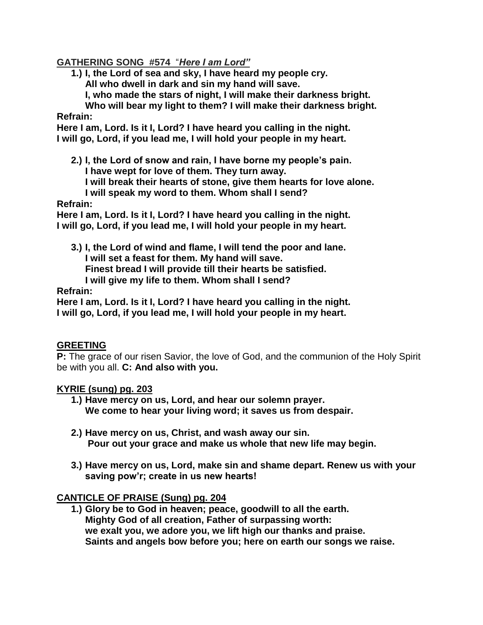## **GATHERING SONG #574** "*Here I am Lord"*

**1.) I, the Lord of sea and sky, I have heard my people cry.**

**All who dwell in dark and sin my hand will save.**

**I, who made the stars of night, I will make their darkness bright.**

**Who will bear my light to them? I will make their darkness bright. Refrain:** 

**Here I am, Lord. Is it I, Lord? I have heard you calling in the night. I will go, Lord, if you lead me, I will hold your people in my heart.**

**2.) I, the Lord of snow and rain, I have borne my people's pain. I have wept for love of them. They turn away.**

**I will break their hearts of stone, give them hearts for love alone.**

**I will speak my word to them. Whom shall I send?**

### **Refrain:**

**Here I am, Lord. Is it I, Lord? I have heard you calling in the night. I will go, Lord, if you lead me, I will hold your people in my heart.**

**3.) I, the Lord of wind and flame, I will tend the poor and lane. I will set a feast for them. My hand will save. Finest bread I will provide till their hearts be satisfied. I will give my life to them. Whom shall I send?**

**Refrain:** 

**Here I am, Lord. Is it I, Lord? I have heard you calling in the night. I will go, Lord, if you lead me, I will hold your people in my heart.**

# **GREETING**

**P:** The grace of our risen Savior, the love of God, and the communion of the Holy Spirit be with you all. **C: And also with you.**

#### **KYRIE (sung) pg. 203**

- **1.) Have mercy on us, Lord, and hear our solemn prayer. We come to hear your living word; it saves us from despair.**
- **2.) Have mercy on us, Christ, and wash away our sin. Pour out your grace and make us whole that new life may begin.**
- **3.) Have mercy on us, Lord, make sin and shame depart. Renew us with your saving pow'r; create in us new hearts!**

# **CANTICLE OF PRAISE (Sung) pg. 204**

**1.) Glory be to God in heaven; peace, goodwill to all the earth. Mighty God of all creation, Father of surpassing worth: we exalt you, we adore you, we lift high our thanks and praise. Saints and angels bow before you; here on earth our songs we raise.**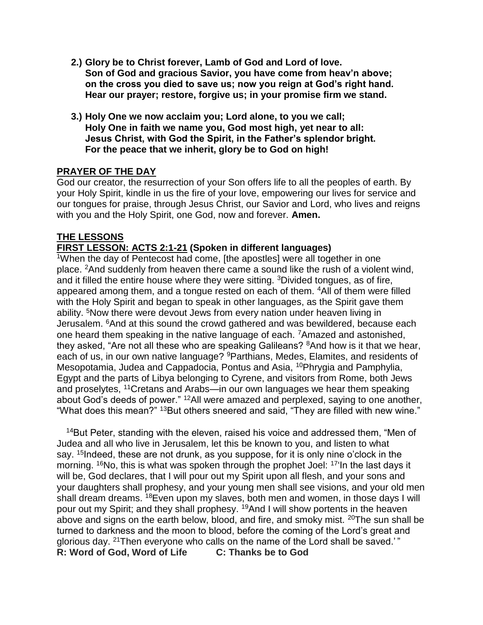- **2.) Glory be to Christ forever, Lamb of God and Lord of love. Son of God and gracious Savior, you have come from heav'n above; on the cross you died to save us; now you reign at God's right hand. Hear our prayer; restore, forgive us; in your promise firm we stand.**
- **3.) Holy One we now acclaim you; Lord alone, to you we call; Holy One in faith we name you, God most high, yet near to all: Jesus Christ, with God the Spirit, in the Father's splendor bright. For the peace that we inherit, glory be to God on high!**

### **PRAYER OF THE DAY**

God our creator, the resurrection of your Son offers life to all the peoples of earth. By your Holy Spirit, kindle in us the fire of your love, empowering our lives for service and our tongues for praise, through Jesus Christ, our Savior and Lord, who lives and reigns with you and the Holy Spirit, one God, now and forever. **Amen.**

### **THE LESSONS**

### **FIRST LESSON: ACTS 2:1-21 (Spoken in different languages)**

<sup>1</sup>When the day of Pentecost had come, [the apostles] were all together in one place. <sup>2</sup>And suddenly from heaven there came a sound like the rush of a violent wind, and it filled the entire house where they were sitting. <sup>3</sup>Divided tongues, as of fire, appeared among them, and a tongue rested on each of them. <sup>4</sup>All of them were filled with the Holy Spirit and began to speak in other languages, as the Spirit gave them ability. <sup>5</sup>Now there were devout Jews from every nation under heaven living in Jerusalem. <sup>6</sup>And at this sound the crowd gathered and was bewildered, because each one heard them speaking in the native language of each. <sup>7</sup>Amazed and astonished, they asked, "Are not all these who are speaking Galileans? <sup>8</sup>And how is it that we hear, each of us, in our own native language? <sup>9</sup>Parthians, Medes, Elamites, and residents of Mesopotamia, Judea and Cappadocia, Pontus and Asia, <sup>10</sup>Phrygia and Pamphylia, Egypt and the parts of Libya belonging to Cyrene, and visitors from Rome, both Jews and proselytes, <sup>11</sup>Cretans and Arabs—in our own languages we hear them speaking about God's deeds of power." <sup>12</sup>All were amazed and perplexed, saying to one another, "What does this mean?" <sup>13</sup>But others sneered and said, "They are filled with new wine."

<sup>14</sup>But Peter, standing with the eleven, raised his voice and addressed them, "Men of Judea and all who live in Jerusalem, let this be known to you, and listen to what say. <sup>15</sup>Indeed, these are not drunk, as you suppose, for it is only nine o'clock in the morning. <sup>16</sup>No, this is what was spoken through the prophet Joel: <sup>17'</sup>In the last days it will be, God declares, that I will pour out my Spirit upon all flesh, and your sons and your daughters shall prophesy, and your young men shall see visions, and your old men shall dream dreams. <sup>18</sup>Even upon my slaves, both men and women, in those days I will pour out my Spirit; and they shall prophesy. <sup>19</sup>And I will show portents in the heaven above and signs on the earth below, blood, and fire, and smoky mist. <sup>20</sup>The sun shall be turned to darkness and the moon to blood, before the coming of the Lord's great and glorious day. <sup>21</sup>Then everyone who calls on the name of the Lord shall be saved.'" **R: Word of God, Word of Life C: Thanks be to God**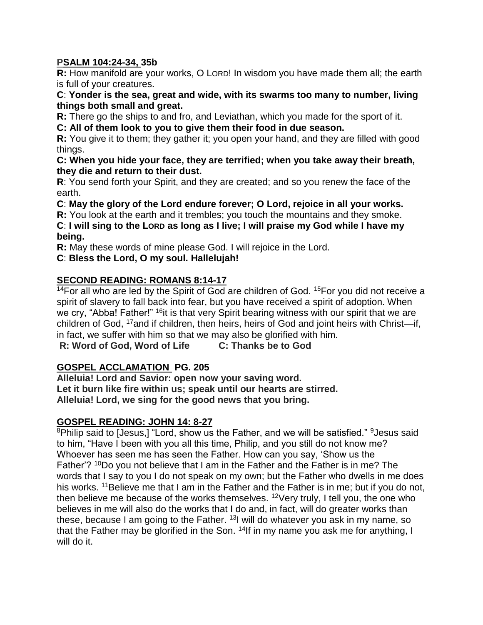## **PSALM 104:24-34, 35b**

**R:** How manifold are your works, O LORD! In wisdom you have made them all; the earth is full of your creatures.

**C**: **Yonder is the sea, great and wide, with its swarms too many to number, living things both small and great.**

**R:** There go the ships to and fro, and Leviathan, which you made for the sport of it.

**C: All of them look to you to give them their food in due season.**

**R:** You give it to them; they gather it; you open your hand, and they are filled with good things.

**C: When you hide your face, they are terrified; when you take away their breath, they die and return to their dust.**

**R**: You send forth your Spirit, and they are created; and so you renew the face of the earth.

**C**: **May the glory of the Lord endure forever; O Lord, rejoice in all your works.**

**R:** You look at the earth and it trembles; you touch the mountains and they smoke.

**C**: **I will sing to the LORD as long as I live; I will praise my God while I have my being.**

**R:** May these words of mine please God. I will rejoice in the Lord.

**C**: **Bless the Lord, O my soul. Hallelujah!**

# **SECOND READING: ROMANS 8:14-17**

 $14$ For all who are led by the Spirit of God are children of God.  $15$ For you did not receive a spirit of slavery to fall back into fear, but you have received a spirit of adoption. When we cry, "Abba! Father!" <sup>16</sup>it is that very Spirit bearing witness with our spirit that we are children of God, <sup>17</sup>and if children, then heirs, heirs of God and joint heirs with Christ—if, in fact, we suffer with him so that we may also be glorified with him.

**R: Word of God, Word of Life C: Thanks be to God**

# **GOSPEL ACCLAMATION PG. 205**

**Alleluia! Lord and Savior: open now your saving word. Let it burn like fire within us; speak until our hearts are stirred. Alleluia! Lord, we sing for the good news that you bring.**

# **GOSPEL READING: JOHN 14: 8-27**

<sup>8</sup>Philip said to [Jesus,] "Lord, show us the Father, and we will be satisfied." <sup>9</sup>Jesus said to him, "Have I been with you all this time, Philip, and you still do not know me? Whoever has seen me has seen the Father. How can you say, 'Show us the Father'? <sup>10</sup>Do you not believe that I am in the Father and the Father is in me? The words that I say to you I do not speak on my own; but the Father who dwells in me does his works. <sup>11</sup>Believe me that I am in the Father and the Father is in me; but if you do not, then believe me because of the works themselves.  $12$ Very truly, I tell you, the one who believes in me will also do the works that I do and, in fact, will do greater works than these, because I am going to the Father. <sup>13</sup>I will do whatever you ask in my name, so that the Father may be glorified in the Son. <sup>14</sup>If in my name you ask me for anything, I will do it.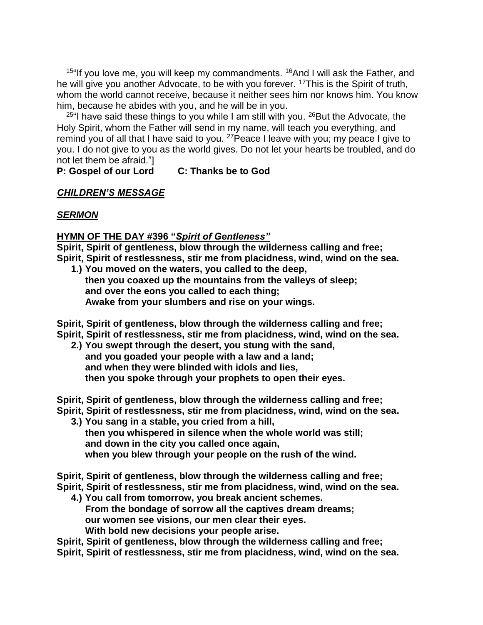$15$ "If you love me, you will keep my commandments.  $16$ And I will ask the Father, and he will give you another Advocate, to be with you forever. <sup>17</sup>This is the Spirit of truth, whom the world cannot receive, because it neither sees him nor knows him. You know him, because he abides with you, and he will be in you.

 $25$ "I have said these things to you while I am still with you.  $26$  But the Advocate, the Holy Spirit, whom the Father will send in my name, will teach you everything, and remind you of all that I have said to you. <sup>27</sup> Peace I leave with you; my peace I give to you. I do not give to you as the world gives. Do not let your hearts be troubled, and do not let them be afraid."]

# **P: Gospel of our Lord C: Thanks be to God**

#### *CHILDREN'S MESSAGE*

#### *SERMON*

#### **HYMN OF THE DAY #396 "***Spirit of Gentleness"*

**Spirit, Spirit of gentleness, blow through the wilderness calling and free; Spirit, Spirit of restlessness, stir me from placidness, wind, wind on the sea.**

**1.) You moved on the waters, you called to the deep, then you coaxed up the mountains from the valleys of sleep; and over the eons you called to each thing; Awake from your slumbers and rise on your wings.**

**Spirit, Spirit of gentleness, blow through the wilderness calling and free; Spirit, Spirit of restlessness, stir me from placidness, wind, wind on the sea.**

**2.) You swept through the desert, you stung with the sand, and you goaded your people with a law and a land; and when they were blinded with idols and lies, then you spoke through your prophets to open their eyes.**

**Spirit, Spirit of gentleness, blow through the wilderness calling and free;**

- **Spirit, Spirit of restlessness, stir me from placidness, wind, wind on the sea.**
	- **3.) You sang in a stable, you cried from a hill, then you whispered in silence when the whole world was still; and down in the city you called once again, when you blew through your people on the rush of the wind.**

**Spirit, Spirit of gentleness, blow through the wilderness calling and free; Spirit, Spirit of restlessness, stir me from placidness, wind, wind on the sea.**

**4.) You call from tomorrow, you break ancient schemes. From the bondage of sorrow all the captives dream dreams; our women see visions, our men clear their eyes. With bold new decisions your people arise.**

**Spirit, Spirit of gentleness, blow through the wilderness calling and free;**

**Spirit, Spirit of restlessness, stir me from placidness, wind, wind on the sea.**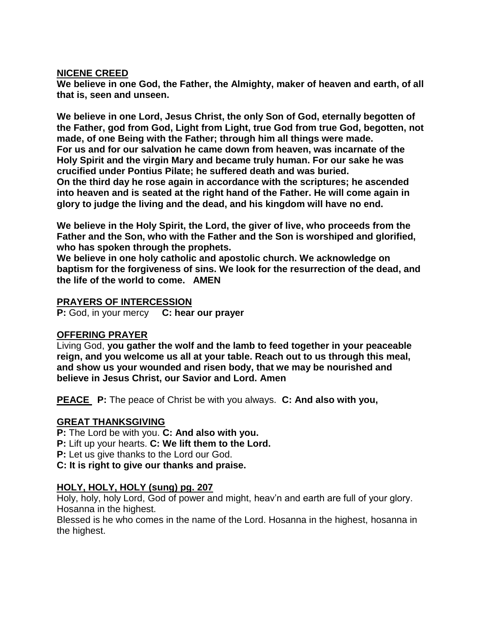#### **NICENE CREED**

**We believe in one God, the Father, the Almighty, maker of heaven and earth, of all that is, seen and unseen.**

**We believe in one Lord, Jesus Christ, the only Son of God, eternally begotten of the Father, god from God, Light from Light, true God from true God, begotten, not made, of one Being with the Father; through him all things were made. For us and for our salvation he came down from heaven, was incarnate of the Holy Spirit and the virgin Mary and became truly human. For our sake he was crucified under Pontius Pilate; he suffered death and was buried.** 

**On the third day he rose again in accordance with the scriptures; he ascended into heaven and is seated at the right hand of the Father. He will come again in glory to judge the living and the dead, and his kingdom will have no end.**

**We believe in the Holy Spirit, the Lord, the giver of live, who proceeds from the Father and the Son, who with the Father and the Son is worshiped and glorified, who has spoken through the prophets.**

**We believe in one holy catholic and apostolic church. We acknowledge on baptism for the forgiveness of sins. We look for the resurrection of the dead, and the life of the world to come. AMEN**

### **PRAYERS OF INTERCESSION**

**P:** God, in your mercy **C: hear our prayer**

# **OFFERING PRAYER**

Living God, **you gather the wolf and the lamb to feed together in your peaceable reign, and you welcome us all at your table. Reach out to us through this meal, and show us your wounded and risen body, that we may be nourished and believe in Jesus Christ, our Savior and Lord. Amen**

**PEACE P:** The peace of Christ be with you always. **C: And also with you,**

# **GREAT THANKSGIVING**

**P:** The Lord be with you. **C: And also with you.** 

**P:** Lift up your hearts. **C: We lift them to the Lord.**

**P:** Let us give thanks to the Lord our God.

**C: It is right to give our thanks and praise.** 

# **HOLY, HOLY, HOLY (sung) pg. 207**

Holy, holy, holy Lord, God of power and might, heav'n and earth are full of your glory. Hosanna in the highest.

Blessed is he who comes in the name of the Lord. Hosanna in the highest, hosanna in the highest.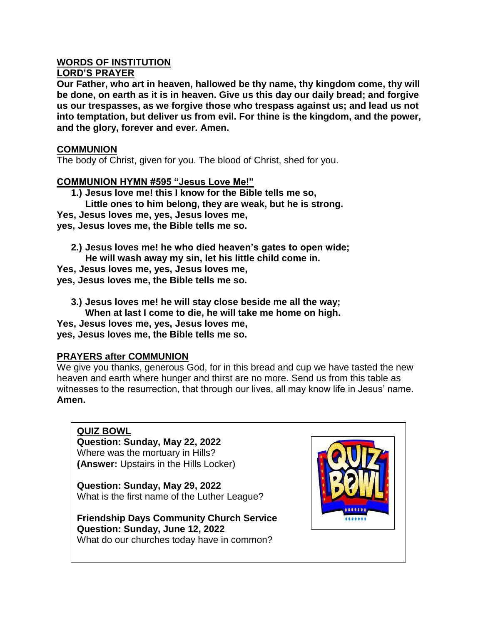#### **WORDS OF INSTITUTION LORD'S PRAYER**

**Our Father, who art in heaven, hallowed be thy name, thy kingdom come, thy will be done, on earth as it is in heaven. Give us this day our daily bread; and forgive us our trespasses, as we forgive those who trespass against us; and lead us not into temptation, but deliver us from evil. For thine is the kingdom, and the power, and the glory, forever and ever. Amen.**

## **COMMUNION**

The body of Christ, given for you. The blood of Christ, shed for you.

# **COMMUNION HYMN #595 "Jesus Love Me!"**

- **1.) Jesus love me! this I know for the Bible tells me so, Little ones to him belong, they are weak, but he is strong. Yes, Jesus loves me, yes, Jesus loves me, yes, Jesus loves me, the Bible tells me so.**
- **2.) Jesus loves me! he who died heaven's gates to open wide; He will wash away my sin, let his little child come in. Yes, Jesus loves me, yes, Jesus loves me,**

**yes, Jesus loves me, the Bible tells me so.**

- **3.) Jesus loves me! he will stay close beside me all the way;**
- **When at last I come to die, he will take me home on high.**

**Yes, Jesus loves me, yes, Jesus loves me,** 

**yes, Jesus loves me, the Bible tells me so.**

#### **PRAYERS after COMMUNION**

We give you thanks, generous God, for in this bread and cup we have tasted the new heaven and earth where hunger and thirst are no more. Send us from this table as witnesses to the resurrection, that through our lives, all may know life in Jesus' name. **Amen.**

**QUIZ BOWL Question: Sunday, May 22, 2022** Where was the mortuary in Hills? **(Answer:** Upstairs in the Hills Locker)

**Question: Sunday, May 29, 2022** What is the first name of the Luther League?

**Friendship Days Community Church Service Question: Sunday, June 12, 2022** What do our churches today have in common?

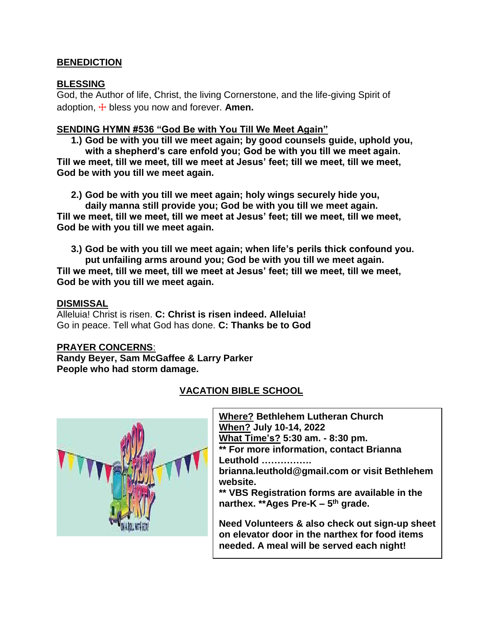# **BENEDICTION**

### **BLESSING**

God, the Author of life, Christ, the living Cornerstone, and the life-giving Spirit of adoption, ☩ bless you now and forever. **Amen.**

#### **SENDING HYMN #536 "God Be with You Till We Meet Again"**

**1.) God be with you till we meet again; by good counsels guide, uphold you, with a shepherd's care enfold you; God be with you till we meet again. Till we meet, till we meet, till we meet at Jesus' feet; till we meet, till we meet,**

**God be with you till we meet again.**

**2.) God be with you till we meet again; holy wings securely hide you,**

**daily manna still provide you; God be with you till we meet again. Till we meet, till we meet, till we meet at Jesus' feet; till we meet, till we meet, God be with you till we meet again.**

**3.) God be with you till we meet again; when life's perils thick confound you. put unfailing arms around you; God be with you till we meet again. Till we meet, till we meet, till we meet at Jesus' feet; till we meet, till we meet, God be with you till we meet again.**

### **DISMISSAL**

Alleluia! Christ is risen. **C: Christ is risen indeed. Alleluia!** Go in peace. Tell what God has done. **C: Thanks be to God**

# **PRAYER CONCERNS**:

**Randy Beyer, Sam McGaffee & Larry Parker People who had storm damage.**

# **VACATION BIBLE SCHOOL**

**Where? Bethlehem Lutheran Church When? July 10-14, 2022 What Time's? 5:30 am. - 8:30 pm. \*\* For more information, contact Brianna Leuthold …………….**

**brianna.leuthold@gmail.com or visit Bethlehem website.**

**\*\* VBS Registration forms are available in the narthex. \*\*Ages Pre-K – 5 th grade.**

**Need Volunteers & also check out sign-up sheet on elevator door in the narthex for food items needed. A meal will be served each night!**